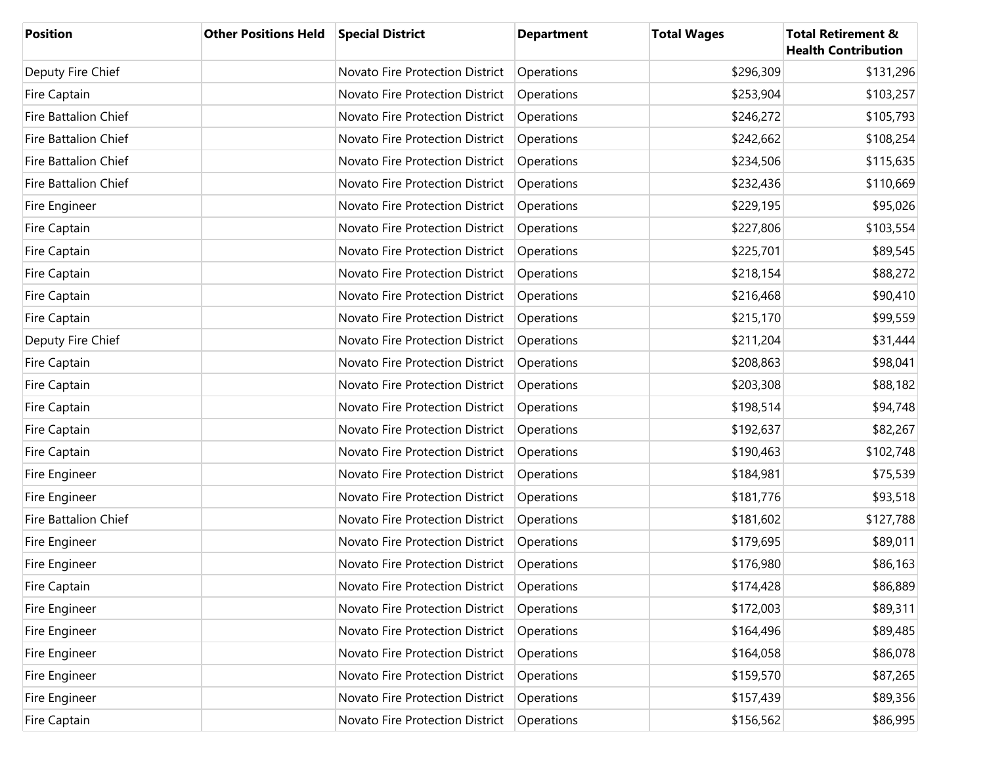| <b>Position</b>             | <b>Other Positions Held</b> | <b>Special District</b>         | <b>Department</b> | <b>Total Wages</b> | <b>Total Retirement &amp;</b><br><b>Health Contribution</b> |
|-----------------------------|-----------------------------|---------------------------------|-------------------|--------------------|-------------------------------------------------------------|
| Deputy Fire Chief           |                             | Novato Fire Protection District | Operations        | \$296,309          | \$131,296                                                   |
| Fire Captain                |                             | Novato Fire Protection District | Operations        | \$253,904          | \$103,257                                                   |
| <b>Fire Battalion Chief</b> |                             | Novato Fire Protection District | Operations        | \$246,272          | \$105,793                                                   |
| Fire Battalion Chief        |                             | Novato Fire Protection District | Operations        | \$242,662          | \$108,254                                                   |
| Fire Battalion Chief        |                             | Novato Fire Protection District | Operations        | \$234,506          | \$115,635                                                   |
| <b>Fire Battalion Chief</b> |                             | Novato Fire Protection District | Operations        | \$232,436          | \$110,669                                                   |
| Fire Engineer               |                             | Novato Fire Protection District | Operations        | \$229,195          | \$95,026                                                    |
| Fire Captain                |                             | Novato Fire Protection District | Operations        | \$227,806          | \$103,554                                                   |
| Fire Captain                |                             | Novato Fire Protection District | Operations        | \$225,701          | \$89,545                                                    |
| Fire Captain                |                             | Novato Fire Protection District | Operations        | \$218,154          | \$88,272                                                    |
| Fire Captain                |                             | Novato Fire Protection District | Operations        | \$216,468          | \$90,410                                                    |
| Fire Captain                |                             | Novato Fire Protection District | Operations        | \$215,170          | \$99,559                                                    |
| Deputy Fire Chief           |                             | Novato Fire Protection District | Operations        | \$211,204          | \$31,444                                                    |
| Fire Captain                |                             | Novato Fire Protection District | Operations        | \$208,863          | \$98,041                                                    |
| Fire Captain                |                             | Novato Fire Protection District | Operations        | \$203,308          | \$88,182                                                    |
| Fire Captain                |                             | Novato Fire Protection District | Operations        | \$198,514          | \$94,748                                                    |
| Fire Captain                |                             | Novato Fire Protection District | Operations        | \$192,637          | \$82,267                                                    |
| Fire Captain                |                             | Novato Fire Protection District | Operations        | \$190,463          | \$102,748                                                   |
| Fire Engineer               |                             | Novato Fire Protection District | Operations        | \$184,981          | \$75,539                                                    |
| Fire Engineer               |                             | Novato Fire Protection District | Operations        | \$181,776          | \$93,518                                                    |
| <b>Fire Battalion Chief</b> |                             | Novato Fire Protection District | Operations        | \$181,602          | \$127,788                                                   |
| Fire Engineer               |                             | Novato Fire Protection District | Operations        | \$179,695          | \$89,011                                                    |
| Fire Engineer               |                             | Novato Fire Protection District | Operations        | \$176,980          | \$86,163                                                    |
| Fire Captain                |                             | Novato Fire Protection District | Operations        | \$174,428          | \$86,889                                                    |
| Fire Engineer               |                             | Novato Fire Protection District | Operations        | \$172,003          | \$89,311                                                    |
| Fire Engineer               |                             | Novato Fire Protection District | Operations        | \$164,496          | \$89,485                                                    |
| Fire Engineer               |                             | Novato Fire Protection District | Operations        | \$164,058          | \$86,078                                                    |
| Fire Engineer               |                             | Novato Fire Protection District | Operations        | \$159,570          | \$87,265                                                    |
| Fire Engineer               |                             | Novato Fire Protection District | Operations        | \$157,439          | \$89,356                                                    |
| Fire Captain                |                             | Novato Fire Protection District | Operations        | \$156,562          | \$86,995                                                    |